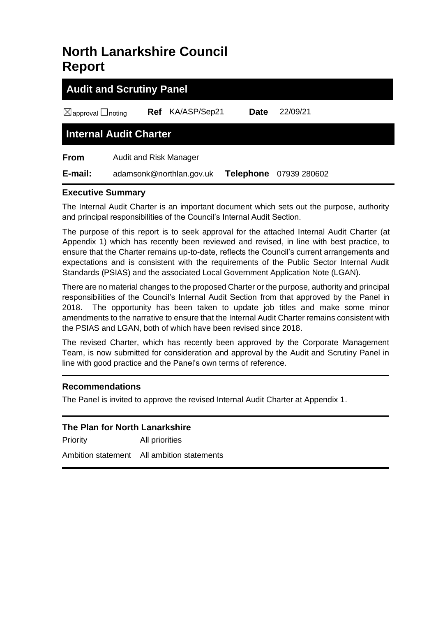# **North Lanarkshire Council Report**

| <b>Audit and Scrutiny Panel</b>    |                          |              |                  |              |  |  |  |
|------------------------------------|--------------------------|--------------|------------------|--------------|--|--|--|
| $\boxtimes$ approval $\Box$ noting | Ref                      | KA/ASP/Sep21 | <b>Date</b>      | 22/09/21     |  |  |  |
| <b>Internal Audit Charter</b>      |                          |              |                  |              |  |  |  |
| <b>From</b>                        | Audit and Risk Manager   |              |                  |              |  |  |  |
| E-mail:                            | adamsonk@northlan.gov.uk |              | <b>Telephone</b> | 07939 280602 |  |  |  |

#### **Executive Summary**

The Internal Audit Charter is an important document which sets out the purpose, authority and principal responsibilities of the Council's Internal Audit Section.

The purpose of this report is to seek approval for the attached Internal Audit Charter (at Appendix 1) which has recently been reviewed and revised, in line with best practice, to ensure that the Charter remains up-to-date, reflects the Council's current arrangements and expectations and is consistent with the requirements of the Public Sector Internal Audit Standards (PSIAS) and the associated Local Government Application Note (LGAN).

There are no material changes to the proposed Charter or the purpose, authority and principal responsibilities of the Council's Internal Audit Section from that approved by the Panel in 2018. The opportunity has been taken to update job titles and make some minor amendments to the narrative to ensure that the Internal Audit Charter remains consistent with the PSIAS and LGAN, both of which have been revised since 2018.

The revised Charter, which has recently been approved by the Corporate Management Team, is now submitted for consideration and approval by the Audit and Scrutiny Panel in line with good practice and the Panel's own terms of reference.

#### **Recommendations**

The Panel is invited to approve the revised Internal Audit Charter at Appendix 1.

| The Plan for North Lanarkshire |                                            |  |  |  |
|--------------------------------|--------------------------------------------|--|--|--|
| Priority                       | All priorities                             |  |  |  |
|                                | Ambition statement All ambition statements |  |  |  |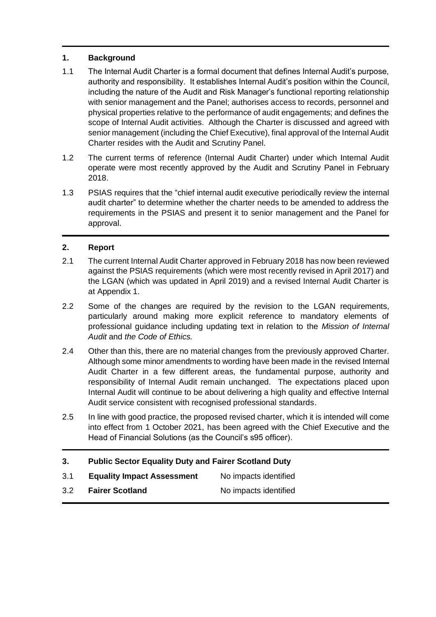### **1. Background**

- 1.1 The Internal Audit Charter is a formal document that defines Internal Audit's purpose, authority and responsibility. It establishes Internal Audit's position within the Council, including the nature of the Audit and Risk Manager's functional reporting relationship with senior management and the Panel; authorises access to records, personnel and physical properties relative to the performance of audit engagements; and defines the scope of Internal Audit activities. Although the Charter is discussed and agreed with senior management (including the Chief Executive), final approval of the Internal Audit Charter resides with the Audit and Scrutiny Panel.
- 1.2 The current terms of reference (Internal Audit Charter) under which Internal Audit operate were most recently approved by the Audit and Scrutiny Panel in February 2018.
- 1.3 PSIAS requires that the "chief internal audit executive periodically review the internal audit charter" to determine whether the charter needs to be amended to address the requirements in the PSIAS and present it to senior management and the Panel for approval.

#### **2. Report**

- 2.1 The current Internal Audit Charter approved in February 2018 has now been reviewed against the PSIAS requirements (which were most recently revised in April 2017) and the LGAN (which was updated in April 2019) and a revised Internal Audit Charter is at Appendix 1.
- 2.2 Some of the changes are required by the revision to the LGAN requirements, particularly around making more explicit reference to mandatory elements of professional guidance including updating text in relation to the *Mission of Internal Audit* and *the Code of Ethics.*
- 2.4 Other than this, there are no material changes from the previously approved Charter. Although some minor amendments to wording have been made in the revised Internal Audit Charter in a few different areas, the fundamental purpose, authority and responsibility of Internal Audit remain unchanged. The expectations placed upon Internal Audit will continue to be about delivering a high quality and effective Internal Audit service consistent with recognised professional standards.
- 2.5 In line with good practice, the proposed revised charter, which it is intended will come into effect from 1 October 2021, has been agreed with the Chief Executive and the Head of Financial Solutions (as the Council's s95 officer).

## **3. Public Sector Equality Duty and Fairer Scotland Duty**

| 3.1 | <b>Equality Impact Assessment</b> | No impacts identified |
|-----|-----------------------------------|-----------------------|
| 3.2 | <b>Fairer Scotland</b>            | No impacts identified |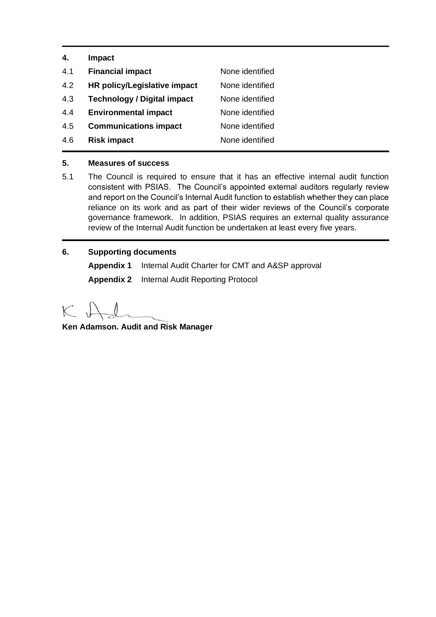| 4.  | <b>Impact</b>                      |                 |
|-----|------------------------------------|-----------------|
| 4.1 | <b>Financial impact</b>            | None identified |
| 4.2 | HR policy/Legislative impact       | None identified |
| 4.3 | <b>Technology / Digital impact</b> | None identified |
| 4.4 | <b>Environmental impact</b>        | None identified |
| 4.5 | <b>Communications impact</b>       | None identified |
| 4.6 | <b>Risk impact</b>                 | None identified |
|     |                                    |                 |

#### **5. Measures of success**

- 5.1 The Council is required to ensure that it has an effective internal audit function consistent with PSIAS. The Council's appointed external auditors regularly review and report on the Council's Internal Audit function to establish whether they can place reliance on its work and as part of their wider reviews of the Council's corporate governance framework. In addition, PSIAS requires an external quality assurance review of the Internal Audit function be undertaken at least every five years.
- **6. Supporting documents Appendix 1** Internal Audit Charter for CMT and A&SP approval **Appendix 2** Internal Audit Reporting Protocol

 $K \downarrow$ 

**Ken Adamson. Audit and Risk Manager**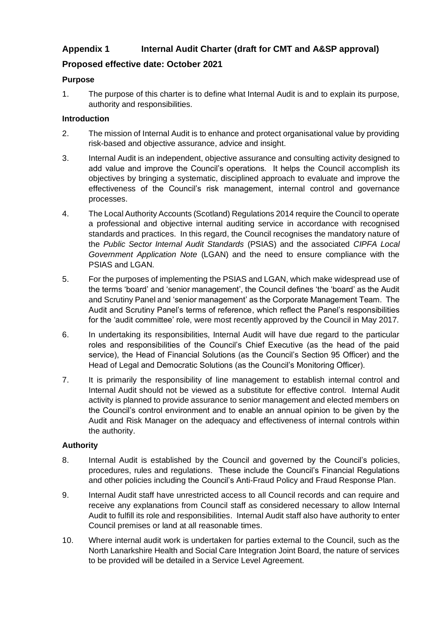# **Appendix 1 Internal Audit Charter (draft for CMT and A&SP approval)**

## **Proposed effective date: October 2021**

#### **Purpose**

1. The purpose of this charter is to define what Internal Audit is and to explain its purpose, authority and responsibilities.

#### **Introduction**

- 2. The mission of Internal Audit is to enhance and protect organisational value by providing risk-based and objective assurance, advice and insight.
- 3. Internal Audit is an independent, objective assurance and consulting activity designed to add value and improve the Council's operations. It helps the Council accomplish its objectives by bringing a systematic, disciplined approach to evaluate and improve the effectiveness of the Council's risk management, internal control and governance processes.
- 4. The Local Authority Accounts (Scotland) Regulations 2014 require the Council to operate a professional and objective internal auditing service in accordance with recognised standards and practices. In this regard, the Council recognises the mandatory nature of the *Public Sector Internal Audit Standards* (PSIAS) and the associated *CIPFA Local Government Application Note* (LGAN) and the need to ensure compliance with the PSIAS and LGAN.
- 5. For the purposes of implementing the PSIAS and LGAN, which make widespread use of the terms 'board' and 'senior management', the Council defines 'the 'board' as the Audit and Scrutiny Panel and 'senior management' as the Corporate Management Team. The Audit and Scrutiny Panel's terms of reference, which reflect the Panel's responsibilities for the 'audit committee' role, were most recently approved by the Council in May 2017.
- 6. In undertaking its responsibilities, Internal Audit will have due regard to the particular roles and responsibilities of the Council's Chief Executive (as the head of the paid service), the Head of Financial Solutions (as the Council's Section 95 Officer) and the Head of Legal and Democratic Solutions (as the Council's Monitoring Officer).
- 7. It is primarily the responsibility of line management to establish internal control and Internal Audit should not be viewed as a substitute for effective control. Internal Audit activity is planned to provide assurance to senior management and elected members on the Council's control environment and to enable an annual opinion to be given by the Audit and Risk Manager on the adequacy and effectiveness of internal controls within the authority.

## **Authority**

- 8. Internal Audit is established by the Council and governed by the Council's policies, procedures, rules and regulations. These include the Council's Financial Regulations and other policies including the Council's Anti-Fraud Policy and Fraud Response Plan.
- 9. Internal Audit staff have unrestricted access to all Council records and can require and receive any explanations from Council staff as considered necessary to allow Internal Audit to fulfill its role and responsibilities. Internal Audit staff also have authority to enter Council premises or land at all reasonable times.
- 10. Where internal audit work is undertaken for parties external to the Council, such as the North Lanarkshire Health and Social Care Integration Joint Board, the nature of services to be provided will be detailed in a Service Level Agreement.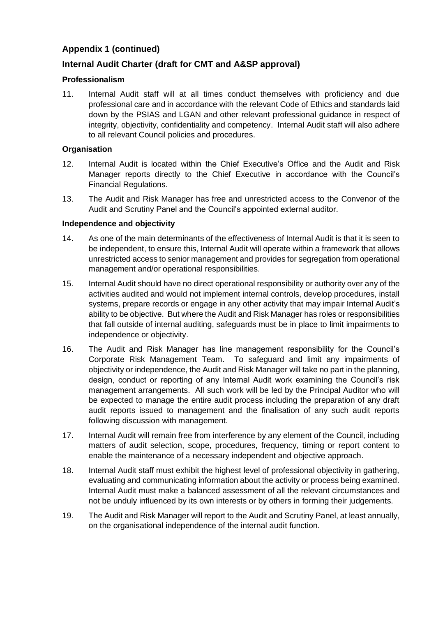## **Internal Audit Charter (draft for CMT and A&SP approval)**

#### **Professionalism**

11. Internal Audit staff will at all times conduct themselves with proficiency and due professional care and in accordance with the relevant Code of Ethics and standards laid down by the PSIAS and LGAN and other relevant professional guidance in respect of integrity, objectivity, confidentiality and competency. Internal Audit staff will also adhere to all relevant Council policies and procedures.

#### **Organisation**

- 12. Internal Audit is located within the Chief Executive's Office and the Audit and Risk Manager reports directly to the Chief Executive in accordance with the Council's Financial Regulations.
- 13. The Audit and Risk Manager has free and unrestricted access to the Convenor of the Audit and Scrutiny Panel and the Council's appointed external auditor.

#### **Independence and objectivity**

- 14. As one of the main determinants of the effectiveness of Internal Audit is that it is seen to be independent, to ensure this, Internal Audit will operate within a framework that allows unrestricted access to senior management and provides for segregation from operational management and/or operational responsibilities.
- 15. Internal Audit should have no direct operational responsibility or authority over any of the activities audited and would not implement internal controls, develop procedures, install systems, prepare records or engage in any other activity that may impair Internal Audit's ability to be objective. But where the Audit and Risk Manager has roles or responsibilities that fall outside of internal auditing, safeguards must be in place to limit impairments to independence or objectivity.
- 16. The Audit and Risk Manager has line management responsibility for the Council's Corporate Risk Management Team. To safeguard and limit any impairments of objectivity or independence, the Audit and Risk Manager will take no part in the planning, design, conduct or reporting of any Internal Audit work examining the Council's risk management arrangements. All such work will be led by the Principal Auditor who will be expected to manage the entire audit process including the preparation of any draft audit reports issued to management and the finalisation of any such audit reports following discussion with management.
- 17. Internal Audit will remain free from interference by any element of the Council, including matters of audit selection, scope, procedures, frequency, timing or report content to enable the maintenance of a necessary independent and objective approach.
- 18. Internal Audit staff must exhibit the highest level of professional objectivity in gathering, evaluating and communicating information about the activity or process being examined. Internal Audit must make a balanced assessment of all the relevant circumstances and not be unduly influenced by its own interests or by others in forming their judgements.
- 19. The Audit and Risk Manager will report to the Audit and Scrutiny Panel, at least annually, on the organisational independence of the internal audit function.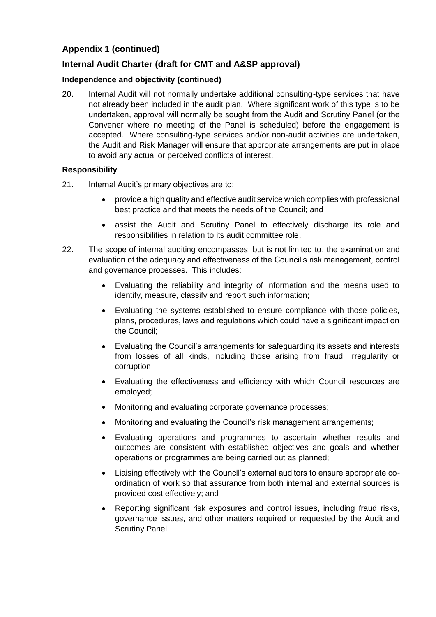## **Internal Audit Charter (draft for CMT and A&SP approval)**

#### **Independence and objectivity (continued)**

20. Internal Audit will not normally undertake additional consulting-type services that have not already been included in the audit plan. Where significant work of this type is to be undertaken, approval will normally be sought from the Audit and Scrutiny Panel (or the Convener where no meeting of the Panel is scheduled) before the engagement is accepted. Where consulting-type services and/or non-audit activities are undertaken, the Audit and Risk Manager will ensure that appropriate arrangements are put in place to avoid any actual or perceived conflicts of interest.

#### **Responsibility**

- 21. Internal Audit's primary objectives are to:
	- provide a high quality and effective audit service which complies with professional best practice and that meets the needs of the Council; and
	- assist the Audit and Scrutiny Panel to effectively discharge its role and responsibilities in relation to its audit committee role.
- 22. The scope of internal auditing encompasses, but is not limited to, the examination and evaluation of the adequacy and effectiveness of the Council's risk management, control and governance processes. This includes:
	- Evaluating the reliability and integrity of information and the means used to identify, measure, classify and report such information;
	- Evaluating the systems established to ensure compliance with those policies, plans, procedures, laws and regulations which could have a significant impact on the Council;
	- Evaluating the Council's arrangements for safeguarding its assets and interests from losses of all kinds, including those arising from fraud, irregularity or corruption;
	- Evaluating the effectiveness and efficiency with which Council resources are employed;
	- Monitoring and evaluating corporate governance processes;
	- Monitoring and evaluating the Council's risk management arrangements;
	- Evaluating operations and programmes to ascertain whether results and outcomes are consistent with established objectives and goals and whether operations or programmes are being carried out as planned;
	- Liaising effectively with the Council's external auditors to ensure appropriate coordination of work so that assurance from both internal and external sources is provided cost effectively; and
	- Reporting significant risk exposures and control issues, including fraud risks, governance issues, and other matters required or requested by the Audit and Scrutiny Panel.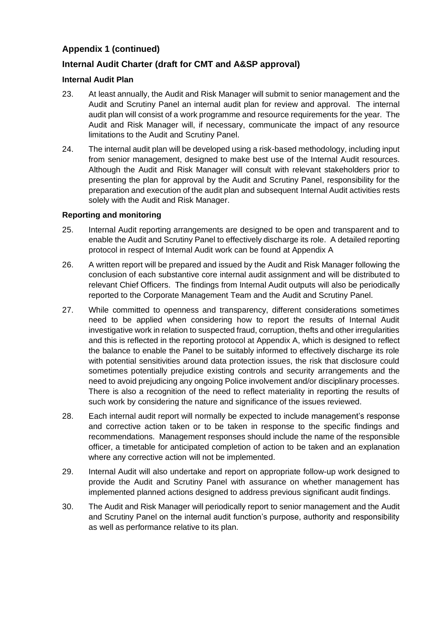# **Internal Audit Charter (draft for CMT and A&SP approval)**

#### **Internal Audit Plan**

- 23. At least annually, the Audit and Risk Manager will submit to senior management and the Audit and Scrutiny Panel an internal audit plan for review and approval. The internal audit plan will consist of a work programme and resource requirements for the year. The Audit and Risk Manager will, if necessary, communicate the impact of any resource limitations to the Audit and Scrutiny Panel.
- 24. The internal audit plan will be developed using a risk-based methodology, including input from senior management, designed to make best use of the Internal Audit resources. Although the Audit and Risk Manager will consult with relevant stakeholders prior to presenting the plan for approval by the Audit and Scrutiny Panel, responsibility for the preparation and execution of the audit plan and subsequent Internal Audit activities rests solely with the Audit and Risk Manager.

#### **Reporting and monitoring**

- 25. Internal Audit reporting arrangements are designed to be open and transparent and to enable the Audit and Scrutiny Panel to effectively discharge its role. A detailed reporting protocol in respect of Internal Audit work can be found at Appendix A
- 26. A written report will be prepared and issued by the Audit and Risk Manager following the conclusion of each substantive core internal audit assignment and will be distributed to relevant Chief Officers. The findings from Internal Audit outputs will also be periodically reported to the Corporate Management Team and the Audit and Scrutiny Panel.
- 27. While committed to openness and transparency, different considerations sometimes need to be applied when considering how to report the results of Internal Audit investigative work in relation to suspected fraud, corruption, thefts and other irregularities and this is reflected in the reporting protocol at Appendix A, which is designed to reflect the balance to enable the Panel to be suitably informed to effectively discharge its role with potential sensitivities around data protection issues, the risk that disclosure could sometimes potentially prejudice existing controls and security arrangements and the need to avoid prejudicing any ongoing Police involvement and/or disciplinary processes. There is also a recognition of the need to reflect materiality in reporting the results of such work by considering the nature and significance of the issues reviewed.
- 28. Each internal audit report will normally be expected to include management's response and corrective action taken or to be taken in response to the specific findings and recommendations. Management responses should include the name of the responsible officer, a timetable for anticipated completion of action to be taken and an explanation where any corrective action will not be implemented.
- 29. Internal Audit will also undertake and report on appropriate follow-up work designed to provide the Audit and Scrutiny Panel with assurance on whether management has implemented planned actions designed to address previous significant audit findings.
- 30. The Audit and Risk Manager will periodically report to senior management and the Audit and Scrutiny Panel on the internal audit function's purpose, authority and responsibility as well as performance relative to its plan.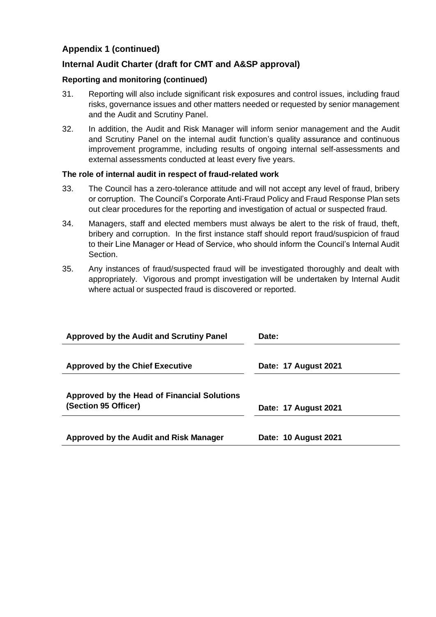## **Internal Audit Charter (draft for CMT and A&SP approval)**

#### **Reporting and monitoring (continued)**

- 31. Reporting will also include significant risk exposures and control issues, including fraud risks, governance issues and other matters needed or requested by senior management and the Audit and Scrutiny Panel.
- 32. In addition, the Audit and Risk Manager will inform senior management and the Audit and Scrutiny Panel on the internal audit function's quality assurance and continuous improvement programme, including results of ongoing internal self-assessments and external assessments conducted at least every five years.

#### **The role of internal audit in respect of fraud-related work**

- 33. The Council has a zero-tolerance attitude and will not accept any level of fraud, bribery or corruption. The Council's Corporate Anti-Fraud Policy and Fraud Response Plan sets out clear procedures for the reporting and investigation of actual or suspected fraud.
- 34. Managers, staff and elected members must always be alert to the risk of fraud, theft, bribery and corruption. In the first instance staff should report fraud/suspicion of fraud to their Line Manager or Head of Service, who should inform the Council's Internal Audit Section.
- 35. Any instances of fraud/suspected fraud will be investigated thoroughly and dealt with appropriately. Vigorous and prompt investigation will be undertaken by Internal Audit where actual or suspected fraud is discovered or reported.

| <b>Approved by the Audit and Scrutiny Panel</b>                     | Date:                |  |  |
|---------------------------------------------------------------------|----------------------|--|--|
| <b>Approved by the Chief Executive</b>                              | Date: 17 August 2021 |  |  |
| Approved by the Head of Financial Solutions<br>(Section 95 Officer) | Date: 17 August 2021 |  |  |
| Approved by the Audit and Risk Manager                              | Date: 10 August 2021 |  |  |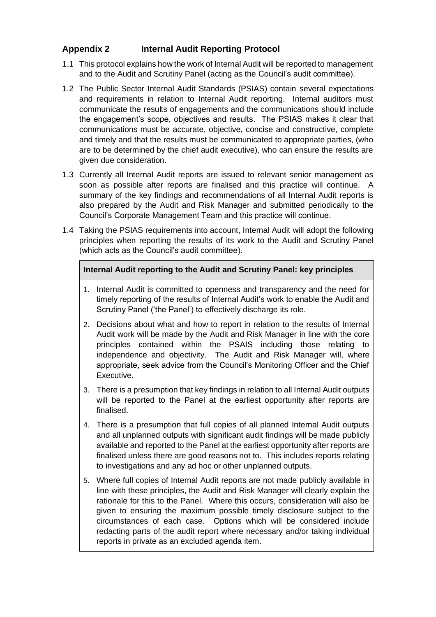# **Appendix 2 Internal Audit Reporting Protocol**

- 1.1 This protocol explains how the work of Internal Audit will be reported to management and to the Audit and Scrutiny Panel (acting as the Council's audit committee).
- 1.2 The Public Sector Internal Audit Standards (PSIAS) contain several expectations and requirements in relation to Internal Audit reporting. Internal auditors must communicate the results of engagements and the communications should include the engagement's scope, objectives and results. The PSIAS makes it clear that communications must be accurate, objective, concise and constructive, complete and timely and that the results must be communicated to appropriate parties, (who are to be determined by the chief audit executive), who can ensure the results are given due consideration.
- 1.3 Currently all Internal Audit reports are issued to relevant senior management as soon as possible after reports are finalised and this practice will continue. A summary of the key findings and recommendations of all Internal Audit reports is also prepared by the Audit and Risk Manager and submitted periodically to the Council's Corporate Management Team and this practice will continue.
- 1.4 Taking the PSIAS requirements into account, Internal Audit will adopt the following principles when reporting the results of its work to the Audit and Scrutiny Panel (which acts as the Council's audit committee).

#### **Internal Audit reporting to the Audit and Scrutiny Panel: key principles**

- 1. Internal Audit is committed to openness and transparency and the need for timely reporting of the results of Internal Audit's work to enable the Audit and Scrutiny Panel ('the Panel') to effectively discharge its role.
- 2. Decisions about what and how to report in relation to the results of Internal Audit work will be made by the Audit and Risk Manager in line with the core principles contained within the PSAIS including those relating to independence and objectivity. The Audit and Risk Manager will, where appropriate, seek advice from the Council's Monitoring Officer and the Chief Executive.
- 3. There is a presumption that key findings in relation to all Internal Audit outputs will be reported to the Panel at the earliest opportunity after reports are finalised.
- 4. There is a presumption that full copies of all planned Internal Audit outputs and all unplanned outputs with significant audit findings will be made publicly available and reported to the Panel at the earliest opportunity after reports are finalised unless there are good reasons not to. This includes reports relating to investigations and any ad hoc or other unplanned outputs.
- 5. Where full copies of Internal Audit reports are not made publicly available in line with these principles, the Audit and Risk Manager will clearly explain the rationale for this to the Panel. Where this occurs, consideration will also be given to ensuring the maximum possible timely disclosure subject to the circumstances of each case. Options which will be considered include redacting parts of the audit report where necessary and/or taking individual reports in private as an excluded agenda item.